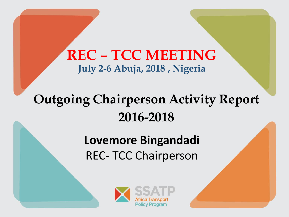### **REC – TCC MEETING July 2-6 Abuja, 2018 , Nigeria**

# **Outgoing Chairperson Activity Report 2016-2018**

## **Lovemore Bingandadi** REC- TCC Chairperson

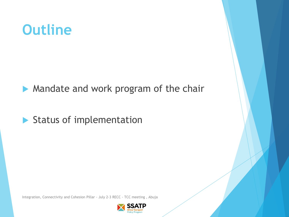# **Outline**

**Mandate and work program of the chair** 

Status of implementation

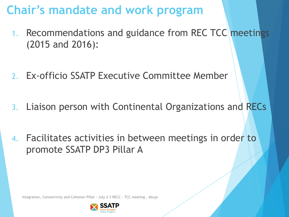### **Chair's mandate and work program**

- 1. Recommendations and guidance from REC TCC meetings (2015 and 2016):
- 2. Ex-officio SSATP Executive Committee Member
- 3. Liaison person with Continental Organizations and RECs
- 4. Facilitates activities in between meetings in order to promote SSATP DP3 Pillar A

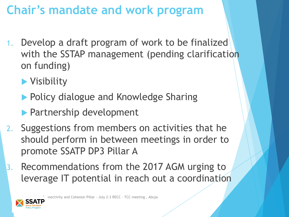## **Chair's mandate and work program**

- 1. Develop a draft program of work to be finalized with the SSTAP management (pending clarification on funding)
	- **Nisibility**
	- **Policy dialogue and Knowledge Sharing**
	- **Partnership development**
- 2. Suggestions from members on activities that he should perform in between meetings in order to promote SSATP DP3 Pillar A
- Recommendations from the 2017 AGM urging to leverage IT potential in reach out a coordination

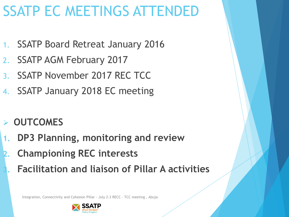# SSATP EC MEETINGS ATTENDED

- 1. SSATP Board Retreat January 2016
- 2. SSATP AGM February 2017
- 3. SSATP November 2017 REC TCC
- 4. SSATP January 2018 EC meeting
- ➢ **OUTCOMES**
- **1. DP3 Planning, monitoring and review**
- **2. Championing REC interests**
	- **3. Facilitation and liaison of Pillar A activities**

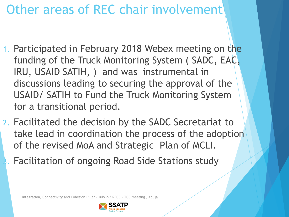## Other areas of REC chair involvement

- 1. Participated in February 2018 Webex meeting on the funding of the Truck Monitoring System ( SADC, EAC, IRU, USAID SATIH, ) and was instrumental in discussions leading to securing the approval of the USAID/ SATIH to Fund the Truck Monitoring System for a transitional period.
- 2. Facilitated the decision by the SADC Secretariat to take lead in coordination the process of the adoption of the revised MoA and Strategic Plan of MCLI.
	- 3. Facilitation of ongoing Road Side Stations study

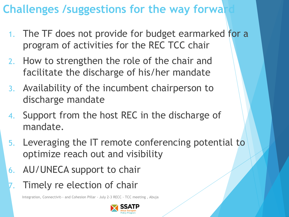### **Challenges /suggestions for the way forwally**

- 1. The TF does not provide for budget earmarked for a program of activities for the REC TCC chair
- 2. How to strengthen the role of the chair and facilitate the discharge of his/her mandate
- 3. Availability of the incumbent chairperson to discharge mandate
- 4. Support from the host REC in the discharge of mandate.
- 5. Leveraging the IT remote conferencing potential to optimize reach out and visibility
- 6. AU/UNECA support to chair
- Timely re election of chair

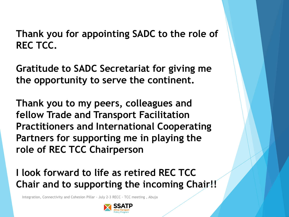#### **Thank you for appointing SADC to the role of REC TCC.**

**Gratitude to SADC Secretariat for giving me the opportunity to serve the continent.**

**Thank you to my peers, colleagues and fellow Trade and Transport Facilitation Practitioners and International Cooperating Partners for supporting me in playing the role of REC TCC Chairperson** 

#### **I look forward to life as retired REC TCC Chair and to supporting the incoming Chair!!**